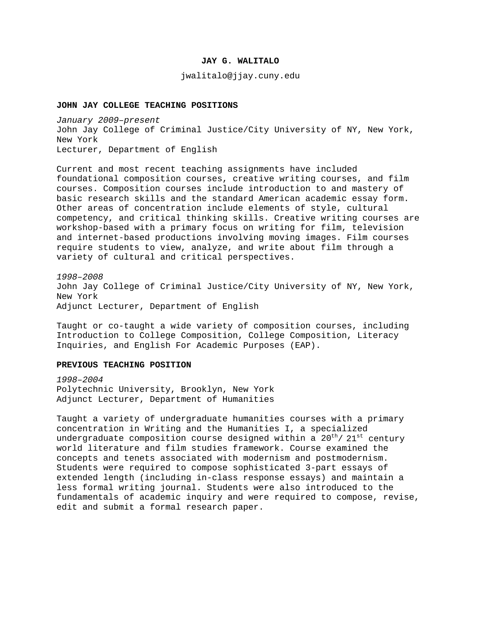## **JAY G. WALITALO**

jwalitalo@jjay.cuny.edu

#### **JOHN JAY COLLEGE TEACHING POSITIONS**

*January 2009–present* John Jay College of Criminal Justice/City University of NY, New York, New York Lecturer, Department of English

Current and most recent teaching assignments have included foundational composition courses, creative writing courses, and film courses. Composition courses include introduction to and mastery of basic research skills and the standard American academic essay form. Other areas of concentration include elements of style, cultural competency, and critical thinking skills. Creative writing courses are workshop-based with a primary focus on writing for film, television and internet-based productions involving moving images. Film courses require students to view, analyze, and write about film through a variety of cultural and critical perspectives.

*1998–2008* John Jay College of Criminal Justice/City University of NY, New York, New York Adjunct Lecturer, Department of English

Taught or co-taught a wide variety of composition courses, including Introduction to College Composition, College Composition, Literacy Inquiries, and English For Academic Purposes (EAP).

#### **PREVIOUS TEACHING POSITION**

*1998–2004* Polytechnic University, Brooklyn, New York Adjunct Lecturer, Department of Humanities

Taught a variety of undergraduate humanities courses with a primary concentration in Writing and the Humanities I, a specialized undergraduate composition course designed within a  $20^{\text{th}}/21^{\text{st}}$  century world literature and film studies framework. Course examined the concepts and tenets associated with modernism and postmodernism. Students were required to compose sophisticated 3-part essays of extended length (including in-class response essays) and maintain a less formal writing journal. Students were also introduced to the fundamentals of academic inquiry and were required to compose, revise, edit and submit a formal research paper.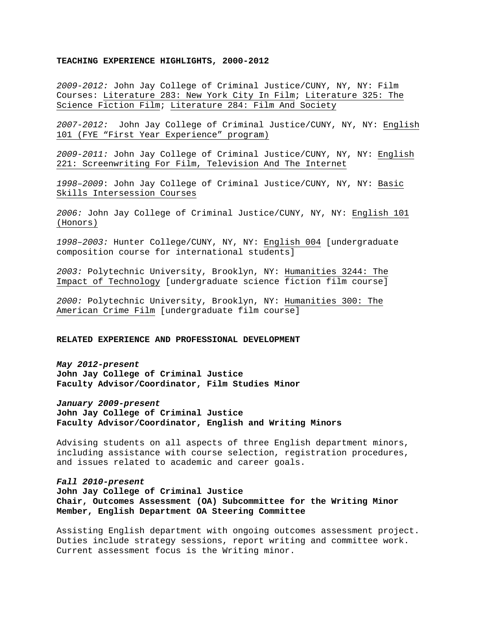#### **TEACHING EXPERIENCE HIGHLIGHTS, 2000-2012**

*2009-2012:* John Jay College of Criminal Justice/CUNY, NY, NY: Film Courses: Literature 283: New York City In Film; Literature 325: The Science Fiction Film; Literature 284: Film And Society

*2007-2012:* John Jay College of Criminal Justice/CUNY, NY, NY: English 101 (FYE "First Year Experience" program)

*2009-2011:* John Jay College of Criminal Justice/CUNY, NY, NY: English 221: Screenwriting For Film, Television And The Internet

*1998–2009*: John Jay College of Criminal Justice/CUNY, NY, NY: Basic Skills Intersession Courses

*2006:* John Jay College of Criminal Justice/CUNY, NY, NY: English 101 (Honors)

*1998–2003:* Hunter College/CUNY, NY, NY: English 004 [undergraduate composition course for international students]

*2003:* Polytechnic University, Brooklyn, NY: Humanities 3244: The Impact of Technology [undergraduate science fiction film course]

*2000:* Polytechnic University, Brooklyn, NY: Humanities 300: The American Crime Film [undergraduate film course]

#### **RELATED EXPERIENCE AND PROFESSIONAL DEVELOPMENT**

*May 2012-present* **John Jay College of Criminal Justice Faculty Advisor/Coordinator, Film Studies Minor**

*January 2009-present* **John Jay College of Criminal Justice Faculty Advisor/Coordinator, English and Writing Minors**

Advising students on all aspects of three English department minors, including assistance with course selection, registration procedures, and issues related to academic and career goals.

*Fall 2010-present* **John Jay College of Criminal Justice Chair, Outcomes Assessment (OA) Subcommittee for the Writing Minor Member, English Department OA Steering Committee**

Assisting English department with ongoing outcomes assessment project. Duties include strategy sessions, report writing and committee work. Current assessment focus is the Writing minor.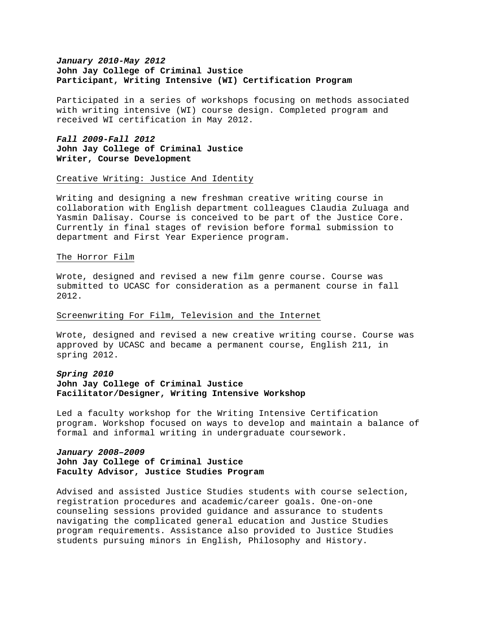# *January 2010-May 2012* **John Jay College of Criminal Justice Participant, Writing Intensive (WI) Certification Program**

Participated in a series of workshops focusing on methods associated with writing intensive (WI) course design. Completed program and received WI certification in May 2012.

# *Fall 2009-Fall 2012* **John Jay College of Criminal Justice Writer, Course Development**

#### Creative Writing: Justice And Identity

Writing and designing a new freshman creative writing course in collaboration with English department colleagues Claudia Zuluaga and Yasmin Dalisay. Course is conceived to be part of the Justice Core. Currently in final stages of revision before formal submission to department and First Year Experience program.

### The Horror Film

Wrote, designed and revised a new film genre course. Course was submitted to UCASC for consideration as a permanent course in fall 2012.

## Screenwriting For Film, Television and the Internet

Wrote, designed and revised a new creative writing course. Course was approved by UCASC and became a permanent course, English 211, in spring 2012.

# *Spring 2010* **John Jay College of Criminal Justice Facilitator/Designer, Writing Intensive Workshop**

Led a faculty workshop for the Writing Intensive Certification program. Workshop focused on ways to develop and maintain a balance of formal and informal writing in undergraduate coursework.

# *January 2008–2009* **John Jay College of Criminal Justice Faculty Advisor, Justice Studies Program**

Advised and assisted Justice Studies students with course selection, registration procedures and academic/career goals. One-on-one counseling sessions provided guidance and assurance to students navigating the complicated general education and Justice Studies program requirements. Assistance also provided to Justice Studies students pursuing minors in English, Philosophy and History.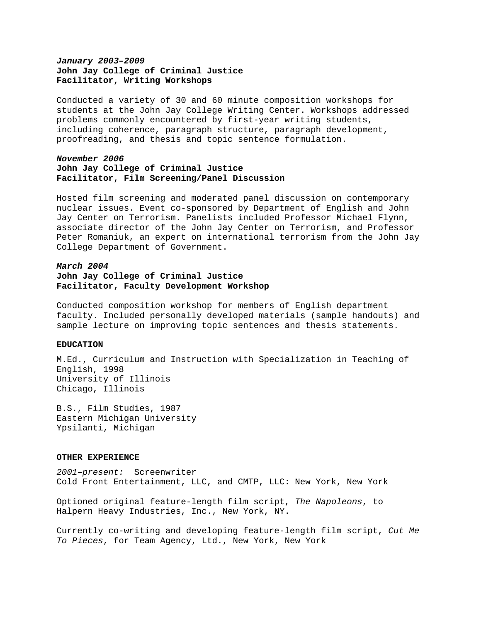# *January 2003–2009* **John Jay College of Criminal Justice Facilitator, Writing Workshops**

Conducted a variety of 30 and 60 minute composition workshops for students at the John Jay College Writing Center. Workshops addressed problems commonly encountered by first-year writing students, including coherence, paragraph structure, paragraph development, proofreading, and thesis and topic sentence formulation.

## *November 2006* **John Jay College of Criminal Justice Facilitator, Film Screening/Panel Discussion**

Hosted film screening and moderated panel discussion on contemporary nuclear issues. Event co-sponsored by Department of English and John Jay Center on Terrorism. Panelists included Professor Michael Flynn, associate director of the John Jay Center on Terrorism, and Professor Peter Romaniuk, an expert on international terrorism from the John Jay College Department of Government.

# *March 2004* **John Jay College of Criminal Justice Facilitator, Faculty Development Workshop**

Conducted composition workshop for members of English department faculty. Included personally developed materials (sample handouts) and sample lecture on improving topic sentences and thesis statements.

## **EDUCATION**

M.Ed., Curriculum and Instruction with Specialization in Teaching of English, 1998 University of Illinois Chicago, Illinois

B.S., Film Studies, 1987 Eastern Michigan University Ypsilanti, Michigan

## **OTHER EXPERIENCE**

*2001–present:* Screenwriter Cold Front Entertainment, LLC, and CMTP, LLC: New York, New York

Optioned original feature-length film script, *The Napoleons*, to Halpern Heavy Industries, Inc., New York, NY.

Currently co-writing and developing feature-length film script, *Cut Me To Pieces*, for Team Agency, Ltd., New York, New York